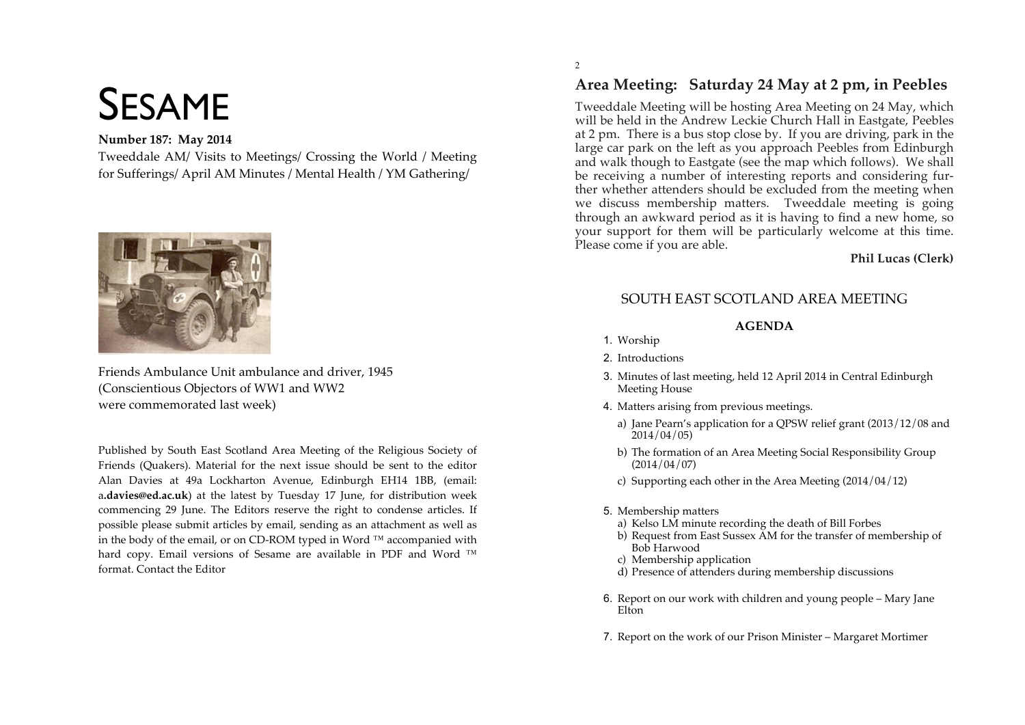# SESAME

## **Number 187: May 2014**

Tweeddale AM/ Visits to Meetings/ Crossing the World / Meeting for Sufferings/ April AM Minutes / Mental Health / YM Gathering/



Friends Ambulance Unit ambulance and driver, 1945 (Conscientious Objectors of WW1 and WW2 were commemorated last week)

Published by South East Scotland Area Meeting of the Religious Society of Friends (Quakers). Material for the next issue should be sent to the editor Alan Davies at 49a Lockharton Avenue, Edinburgh EH14 1BB, (email: a**.davies@ed.ac.uk**) at the latest by Tuesday 17 June, for distribution week commencing 29 June. The Editors reserve the right to condense articles. If possible please submit articles by email, sending as an attachment as well as in the body of the email, or on CD-ROM typed in Word ™ accompanied with hard copy. Email versions of Sesame are available in PDF and Word ™ format. Contact the Editor

# **Area Meeting: Saturday 24 May at 2 pm, in Peebles**

Tweeddale Meeting will be hosting Area Meeting on 24 May, which will be held in the Andrew Leckie Church Hall in Eastgate, Peebles at 2 pm. There is a bus stop close by. If you are driving, park in the large car park on the left as you approach Peebles from Edinburgh and walk though to Eastgate (see the map which follows). We shall be receiving a number of interesting reports and considering further whether attenders should be excluded from the meeting when we discuss membership matters. Tweeddale meeting is going through an awkward period as it is having to find a new home, so your support for them will be particularly welcome at this time. Please come if you are able.

#### **Phil Lucas (Clerk)**

# SOUTH EAST SCOTLAND AREA MEETING

#### **AGENDA**

- 1. Worship
- 2. Introductions
- 3. Minutes of last meeting, held 12 April 2014 in Central Edinburgh Meeting House
- 4. Matters arising from previous meetings.
	- a) Jane Pearn's application for a QPSW relief grant (2013/12/08 and 2014/04/05)
	- b) The formation of an Area Meeting Social Responsibility Group (2014/04/07)
	- c) Supporting each other in the Area Meeting (2014/04/12)
- 5. Membership matters
	- a) Kelso LM minute recording the death of Bill Forbes
	- b) Request from East Sussex AM for the transfer of membership of Bob Harwood
	- c) Membership application
	- d) Presence of attenders during membership discussions
- 6. Report on our work with children and young people Mary Jane **Elton**
- 7. Report on the work of our Prison Minister Margaret Mortimer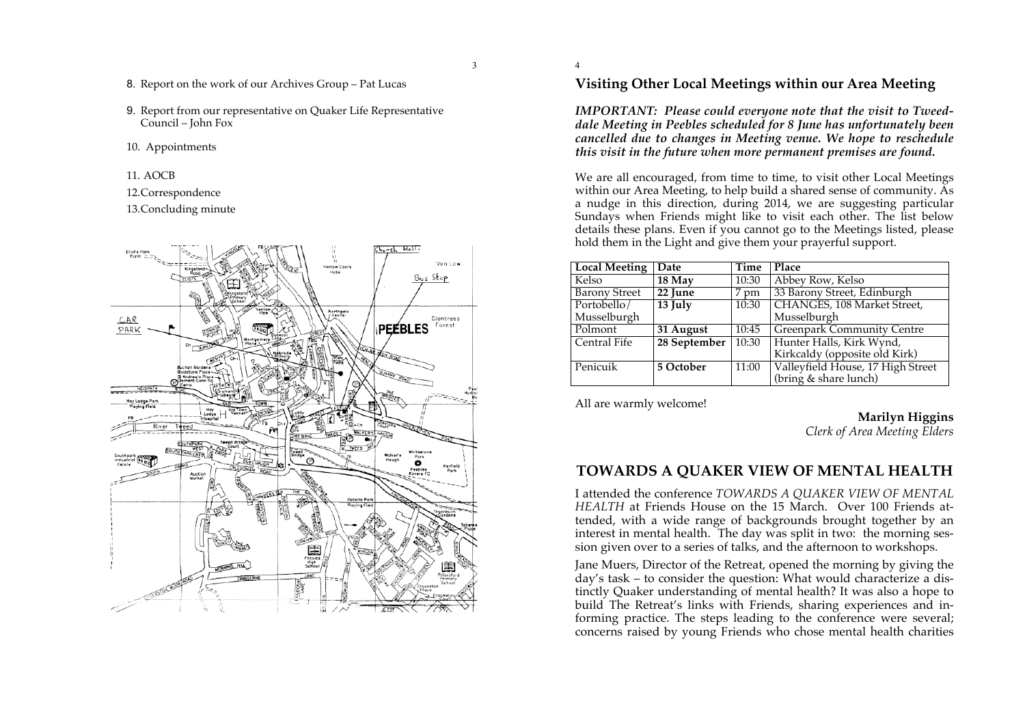- 8. Report on the work of our Archives Group Pat Lucas
- 9. Report from our representative on Quaker Life Representative Council – John Fox
- 10. Appointments
- 11. AOCB
- 12.Correspondence

13.Concluding minute



## **Visiting Other Local Meetings within our Area Meeting**

*IMPORTANT: Please could everyone note that the visit to Tweeddale Meeting in Peebles scheduled for 8 June has unfortunately been cancelled due to changes in Meeting venue. We hope to reschedule this visit in the future when more permanent premises are found.*

We are all encouraged, from time to time, to visit other Local Meetings within our Area Meeting, to help build a shared sense of community. As a nudge in this direction, during 2014, we are suggesting particular Sundays when Friends might like to visit each other. The list below details these plans. Even if you cannot go to the Meetings listed, please hold them in the Light and give them your prayerful support.

| <b>Local Meeting</b> | Date                 | Time               | Place                             |
|----------------------|----------------------|--------------------|-----------------------------------|
| Kelso                | 18 May               | 10:30              | Abbey Row, Kelso                  |
| <b>Barony Street</b> | $22$ June            | 7 pm               | 33 Barony Street, Edinburgh       |
| Portobello/          | $\overline{13}$ July | 10:30              | CHANGES, 108 Market Street,       |
| Musselburgh          |                      |                    | Musselburgh                       |
| Polmont              | 31 August            | $\overline{10:}45$ | <b>Greenpark Community Centre</b> |
| Central Fife         | 28 September         | 10:30              | Hunter Halls, Kirk Wynd,          |
|                      |                      |                    | Kirkcaldy (opposite old Kirk)     |
| Penicuik             | 5 October            | 11:00              | Valleyfield House, 17 High Street |
|                      |                      |                    | (bring & share lunch)             |

All are warmly welcome!

**Marilyn Higgins**

*Clerk of Area Meeting Elders*

## **TOWARDS A QUAKER VIEW OF MENTAL HEALTH**

I attended the conference *TOWARDS A QUAKER VIEW OF MENTAL HEALTH* at Friends House on the 15 March. Over 100 Friends attended, with a wide range of backgrounds brought together by an interest in mental health. The day was split in two: the morning session given over to a series of talks, and the afternoon to workshops.

Jane Muers, Director of the Retreat, opened the morning by giving the day's task – to consider the question: What would characterize a distinctly Quaker understanding of mental health? It was also a hope to build The Retreat's links with Friends, sharing experiences and informing practice. The steps leading to the conference were several; concerns raised by young Friends who chose mental health charities

3

4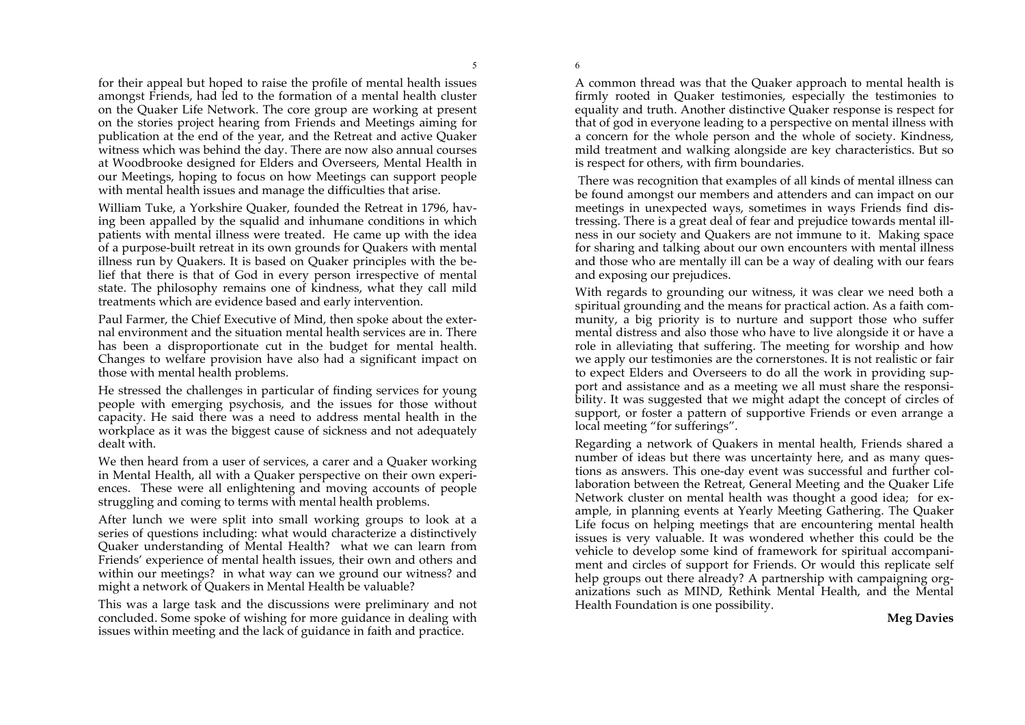6

for their appeal but hoped to raise the profile of mental health issues amongst Friends, had led to the formation of a mental health cluster on the Quaker Life Network. The core group are working at present on the stories project hearing from Friends and Meetings aiming for publication at the end of the year, and the Retreat and active Quaker witness which was behind the day. There are now also annual courses at Woodbrooke designed for Elders and Overseers, Mental Health in our Meetings, hoping to focus on how Meetings can support people with mental health issues and manage the difficulties that arise.

William Tuke, a Yorkshire Quaker, founded the Retreat in 1796, having been appalled by the squalid and inhumane conditions in which patients with mental illness were treated. He came up with the idea of a purpose-built retreat in its own grounds for Quakers with mental illness run by Quakers. It is based on Quaker principles with the belief that there is that of God in every person irrespective of mental state. The philosophy remains one of kindness, what they call mild treatments which are evidence based and early intervention.

Paul Farmer, the Chief Executive of Mind, then spoke about the external environment and the situation mental health services are in. There has been a disproportionate cut in the budget for mental health. Changes to welfare provision have also had a significant impact on those with mental health problems.

He stressed the challenges in particular of finding services for young people with emerging psychosis, and the issues for those without capacity. He said there was a need to address mental health in the workplace as it was the biggest cause of sickness and not adequately dealt with.

We then heard from a user of services, a carer and a Quaker working in Mental Health, all with a Quaker perspective on their own experiences. These were all enlightening and moving accounts of people struggling and coming to terms with mental health problems.

After lunch we were split into small working groups to look at a series of questions including: what would characterize a distinctively Quaker understanding of Mental Health? what we can learn from Friends' experience of mental health issues, their own and others and within our meetings? in what way can we ground our witness? and might a network of Quakers in Mental Health be valuable?

This was a large task and the discussions were preliminary and not concluded. Some spoke of wishing for more guidance in dealing with issues within meeting and the lack of guidance in faith and practice.

A common thread was that the Quaker approach to mental health is firmly rooted in Quaker testimonies, especially the testimonies to equality and truth. Another distinctive Quaker response is respect for that of god in everyone leading to a perspective on mental illness with a concern for the whole person and the whole of society. Kindness, mild treatment and walking alongside are key characteristics. But so is respect for others, with firm boundaries.

There was recognition that examples of all kinds of mental illness can be found amongst our members and attenders and can impact on our meetings in unexpected ways, sometimes in ways Friends find distressing. There is a great deal of fear and prejudice towards mental illness in our society and Quakers are not immune to it. Making space for sharing and talking about our own encounters with mental illness and those who are mentally ill can be a way of dealing with our fears and exposing our prejudices.

With regards to grounding our witness, it was clear we need both a spiritual grounding and the means for practical action. As a faith community, a big priority is to nurture and support those who suffer mental distress and also those who have to live alongside it or have a role in alleviating that suffering. The meeting for worship and how we apply our testimonies are the cornerstones. It is not realistic or fair to expect Elders and Overseers to do all the work in providing support and assistance and as a meeting we all must share the responsibility. It was suggested that we might adapt the concept of circles of support, or foster a pattern of supportive Friends or even arrange a local meeting "for sufferings".

Regarding a network of Quakers in mental health, Friends shared a number of ideas but there was uncertainty here, and as many questions as answers. This one-day event was successful and further collaboration between the Retreat, General Meeting and the Quaker Life Network cluster on mental health was thought a good idea; for example, in planning events at Yearly Meeting Gathering. The Quaker Life focus on helping meetings that are encountering mental health issues is very valuable. It was wondered whether this could be the vehicle to develop some kind of framework for spiritual accompaniment and circles of support for Friends. Or would this replicate self help groups out there already? A partnership with campaigning organizations such as MIND, Rethink Mental Health, and the Mental Health Foundation is one possibility.

#### **Meg Davies**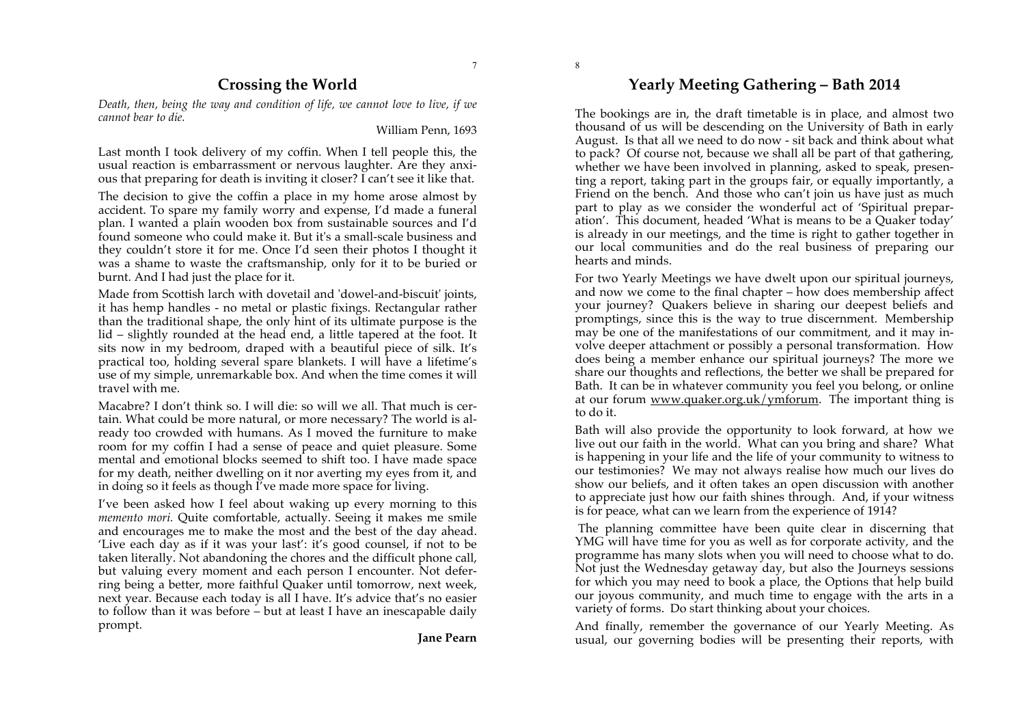7

# **Crossing the World**

*Death, then, being the way and condition of life, we cannot love to live, if we cannot bear to die.*

William Penn, 1693

Last month I took delivery of my coffin. When I tell people this, the usual reaction is embarrassment or nervous laughter. Are they anxious that preparing for death is inviting it closer? I can't see it like that.

The decision to give the coffin a place in my home arose almost by accident. To spare my family worry and expense, I'd made a funeral plan. I wanted a plain wooden box from sustainable sources and I'd found someone who could make it. But it's a small-scale business and they couldn't store it for me. Once I'd seen their photos I thought it was a shame to waste the craftsmanship, only for it to be buried or burnt. And I had just the place for it.

Made from Scottish larch with dovetail and 'dowel-and-biscuit' joints, it has hemp handles - no metal or plastic fixings. Rectangular rather than the traditional shape, the only hint of its ultimate purpose is the lid – slightly rounded at the head end, a little tapered at the foot. It sits now in my bedroom, draped with a beautiful piece of silk. It's practical too, holding several spare blankets. I will have a lifetime's use of my simple, unremarkable box. And when the time comes it will travel with me.

Macabre? I don't think so. I will die: so will we all. That much is certain. What could be more natural, or more necessary? The world is already too crowded with humans. As I moved the furniture to make room for my coffin I had a sense of peace and quiet pleasure. Some mental and emotional blocks seemed to shift too. I have made space for my death, neither dwelling on it nor averting my eyes from it, and in doing so it feels as though I've made more space for living.

I've been asked how I feel about waking up every morning to this *memento mori.* Quite comfortable, actually. Seeing it makes me smile and encourages me to make the most and the best of the day ahead. 'Live each day as if it was your last': it's good counsel, if not to be taken literally. Not abandoning the chores and the difficult phone call, but valuing every moment and each person I encounter. Not deferring being a better, more faithful Quaker until tomorrow, next week, next year. Because each today is all I have. It's advice that's no easier to follow than it was before – but at least I have an inescapable daily prompt.

**Jane Pearn**

# **Yearly Meeting Gathering – Bath 2014**

The bookings are in, the draft timetable is in place, and almost two thousand of us will be descending on the University of Bath in early August. Is that all we need to do now - sit back and think about what to pack? Of course not, because we shall all be part of that gathering, whether we have been involved in planning, asked to speak, presenting a report, taking part in the groups fair, or equally importantly, a Friend on the bench. And those who can't join us have just as much part to play as we consider the wonderful act of 'Spiritual preparation'. This document, headed 'What is means to be a Quaker today' is already in our meetings, and the time is right to gather together in our local communities and do the real business of preparing our hearts and minds.

For two Yearly Meetings we have dwelt upon our spiritual journeys, and now we come to the final chapter – how does membership affect your journey? Quakers believe in sharing our deepest beliefs and promptings, since this is the way to true discernment. Membership may be one of the manifestations of our commitment, and it may involve deeper attachment or possibly a personal transformation. How does being a member enhance our spiritual journeys? The more we share our thoughts and reflections, the better we shall be prepared for Bath. It can be in whatever community you feel you belong, or online at our forum www.quaker.org.uk/ymforum. The important thing is to do it.

Bath will also provide the opportunity to look forward, at how we live out our faith in the world. What can you bring and share? What is happening in your life and the life of your community to witness to our testimonies? We may not always realise how much our lives do show our beliefs, and it often takes an open discussion with another to appreciate just how our faith shines through. And, if your witness is for peace, what can we learn from the experience of 1914?

The planning committee have been quite clear in discerning that YMG will have time for you as well as for corporate activity, and the programme has many slots when you will need to choose what to do. Not just the Wednesday getaway day, but also the Journeys sessions for which you may need to book a place, the Options that help build our joyous community, and much time to engage with the arts in a variety of forms. Do start thinking about your choices.

And finally, remember the governance of our Yearly Meeting. As usual, our governing bodies will be presenting their reports, with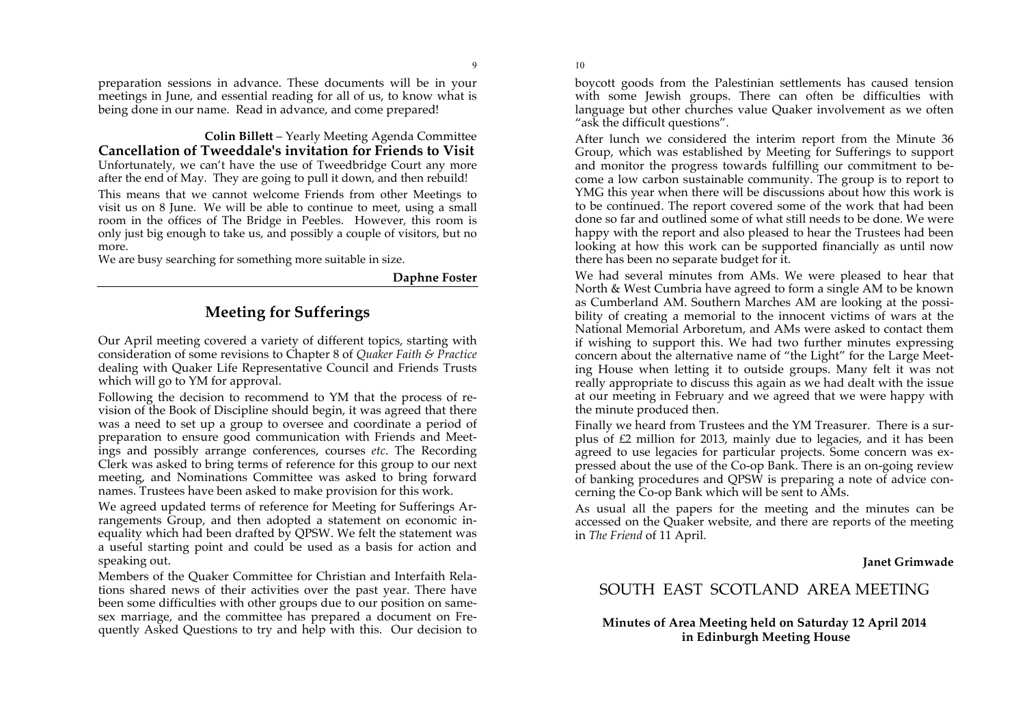preparation sessions in advance. These documents will be in your meetings in June, and essential reading for all of us, to know what is being done in our name. Read in advance, and come prepared!

**Colin Billett** – Yearly Meeting Agenda Committee **Cancellation of Tweeddale's invitation for Friends to Visit** Unfortunately, we can't have the use of Tweedbridge Court any more after the end of May. They are going to pull it down, and then rebuild!

This means that we cannot welcome Friends from other Meetings to visit us on 8 June. We will be able to continue to meet, using a small room in the offices of The Bridge in Peebles. However, this room is only just big enough to take us, and possibly a couple of visitors, but no more.

We are busy searching for something more suitable in size.

#### **Daphne Foster**

9

# **Meeting for Sufferings**

Our April meeting covered a variety of different topics, starting with consideration of some revisions to Chapter 8 of *Quaker Faith & Practice* dealing with Quaker Life Representative Council and Friends Trusts which will go to YM for approval.

Following the decision to recommend to YM that the process of revision of the Book of Discipline should begin, it was agreed that there was a need to set up a group to oversee and coordinate a period of preparation to ensure good communication with Friends and Meetings and possibly arrange conferences, courses *etc*. The Recording Clerk was asked to bring terms of reference for this group to our next meeting, and Nominations Committee was asked to bring forward names. Trustees have been asked to make provision for this work.

We agreed updated terms of reference for Meeting for Sufferings Arrangements Group, and then adopted a statement on economic inequality which had been drafted by QPSW. We felt the statement was a useful starting point and could be used as a basis for action and speaking out.

Members of the Quaker Committee for Christian and Interfaith Relations shared news of their activities over the past year. There have been some difficulties with other groups due to our position on samesex marriage, and the committee has prepared a document on Frequently Asked Questions to try and help with this. Our decision to boycott goods from the Palestinian settlements has caused tension with some Jewish groups. There can often be difficulties with language but other churches value Quaker involvement as we often "ask the difficult questions".

After lunch we considered the interim report from the Minute 36 Group, which was established by Meeting for Sufferings to support and monitor the progress towards fulfilling our commitment to become a low carbon sustainable community. The group is to report to YMG this year when there will be discussions about how this work is to be continued. The report covered some of the work that had been done so far and outlined some of what still needs to be done. We were happy with the report and also pleased to hear the Trustees had been looking at how this work can be supported financially as until now there has been no separate budget for it.

We had several minutes from AMs. We were pleased to hear that North & West Cumbria have agreed to form a single AM to be known as Cumberland AM. Southern Marches AM are looking at the possibility of creating a memorial to the innocent victims of wars at the National Memorial Arboretum, and AMs were asked to contact them if wishing to support this. We had two further minutes expressing concern about the alternative name of "the Light" for the Large Meeting House when letting it to outside groups. Many felt it was not really appropriate to discuss this again as we had dealt with the issue at our meeting in February and we agreed that we were happy with the minute produced then.

Finally we heard from Trustees and the YM Treasurer. There is a surplus of  $\epsilon$ 2 million for 2013, mainly due to legacies, and it has been agreed to use legacies for particular projects. Some concern was expressed about the use of the Co-op Bank. There is an on-going review of banking procedures and QPSW is preparing a note of advice concerning the Co-op Bank which will be sent to AMs.

As usual all the papers for the meeting and the minutes can be accessed on the Quaker website, and there are reports of the meeting in *The Friend* of 11 April.

**Janet Grimwade**

# SOUTH EAST SCOTLAND AREA MEETING

#### **Minutes of Area Meeting held on Saturday 12 April 2014 in Edinburgh Meeting House**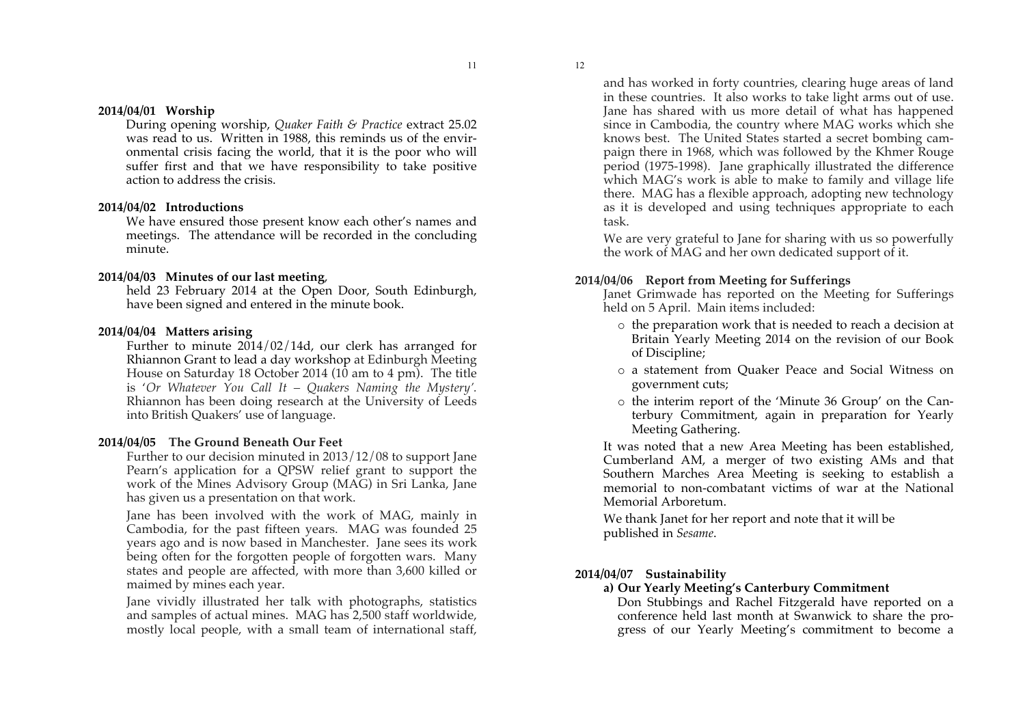#### **2014/04/01 Worship**

During opening worship, *Quaker Faith & Practice* extract 25.02 was read to us. Written in 1988, this reminds us of the environmental crisis facing the world, that it is the poor who will suffer first and that we have responsibility to take positive action to address the crisis.

#### **2014/04/02 Introductions**

We have ensured those present know each other's names and meetings. The attendance will be recorded in the concluding minute.

#### **2014/04/03 Minutes of our last meeting**,

held 23 February 2014 at the Open Door, South Edinburgh, have been signed and entered in the minute book.

#### **2014/04/04 Matters arising**

Further to minute 2014/02/14d, our clerk has arranged for Rhiannon Grant to lead a day workshop at Edinburgh Meeting House on Saturday 18 October 2014 (10 am to 4 pm). The title is '*Or Whatever You Call It – Quakers Naming the Mystery'.* Rhiannon has been doing research at the University of Leeds into British Quakers' use of language.

#### **2014/04/05 The Ground Beneath Our Feet**

Further to our decision minuted in 2013/12/08 to support Jane Pearn's application for a QPSW relief grant to support the work of the Mines Advisory Group (MAG) in Sri Lanka, Jane has given us a presentation on that work.

Jane has been involved with the work of MAG, mainly in Cambodia, for the past fifteen years. MAG was founded 25 years ago and is now based in Manchester. Jane sees its work being often for the forgotten people of forgotten wars. Many states and people are affected, with more than 3,600 killed or maimed by mines each year.

Jane vividly illustrated her talk with photographs, statistics and samples of actual mines. MAG has 2,500 staff worldwide, mostly local people, with a small team of international staff, and has worked in forty countries, clearing huge areas of land in these countries. It also works to take light arms out of use. Jane has shared with us more detail of what has happened since in Cambodia, the country where MAG works which she knows best. The United States started a secret bombing campaign there in 1968, which was followed by the Khmer Rouge period (1975-1998). Jane graphically illustrated the difference which MAG's work is able to make to family and village life there. MAG has a flexible approach, adopting new technology as it is developed and using techniques appropriate to each task.

We are very grateful to Jane for sharing with us so powerfully the work of MAG and her own dedicated support of it.

#### **2014/04/06 Report from Meeting for Sufferings**

Janet Grimwade has reported on the Meeting for Sufferings held on 5 April. Main items included:

- o the preparation work that is needed to reach a decision at Britain Yearly Meeting 2014 on the revision of our Book of Discipline;
- o a statement from Quaker Peace and Social Witness on government cuts;
- o the interim report of the 'Minute 36 Group' on the Canterbury Commitment, again in preparation for Yearly Meeting Gathering.

It was noted that a new Area Meeting has been established, Cumberland AM, a merger of two existing AMs and that Southern Marches Area Meeting is seeking to establish a memorial to non-combatant victims of war at the National Memorial Arboretum.

We thank Janet for her report and note that it will be published in *Sesame*.

#### **2014/04/07 Sustainability**

#### **a) Our Yearly Meeting's Canterbury Commitment**

Don Stubbings and Rachel Fitzgerald have reported on a conference held last month at Swanwick to share the progress of our Yearly Meeting's commitment to become a

12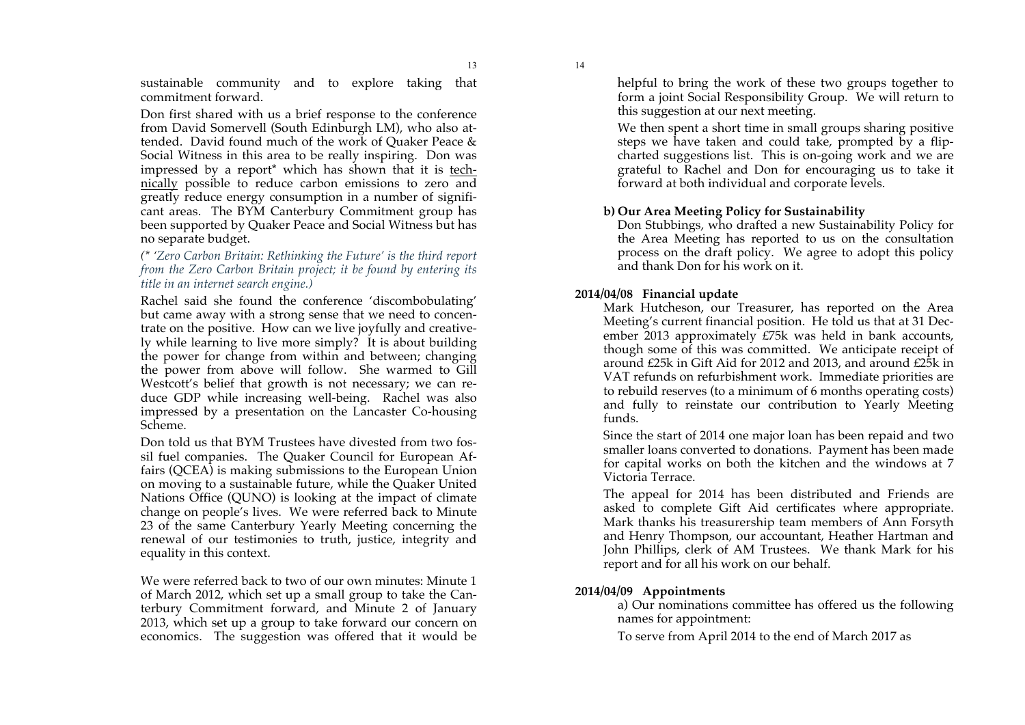13

sustainable community and to explore taking that commitment forward.

Don first shared with us a brief response to the conference from David Somervell (South Edinburgh LM), who also attended. David found much of the work of Quaker Peace & Social Witness in this area to be really inspiring. Don was impressed by a report\* which has shown that it is technically possible to reduce carbon emissions to zero and greatly reduce energy consumption in a number of significant areas. The BYM Canterbury Commitment group has been supported by Quaker Peace and Social Witness but has no separate budget.

#### *(\* 'Zero Carbon Britain: Rethinking the Future' is the third report from the Zero Carbon Britain project; it be found by entering its title in an internet search engine.)*

Rachel said she found the conference 'discombobulating' but came away with a strong sense that we need to concentrate on the positive. How can we live joyfully and creatively while learning to live more simply? It is about building the power for change from within and between; changing the power from above will follow. She warmed to Gill Westcott's belief that growth is not necessary; we can reduce GDP while increasing well-being. Rachel was also impressed by a presentation on the Lancaster Co-housing Scheme.

Don told us that BYM Trustees have divested from two fossil fuel companies. The Quaker Council for European Affairs (QCEA) is making submissions to the European Union on moving to a sustainable future, while the Quaker United Nations Office (QUNO) is looking at the impact of climate change on people's lives. We were referred back to Minute 23 of the same Canterbury Yearly Meeting concerning the renewal of our testimonies to truth, justice, integrity and equality in this context.

We were referred back to two of our own minutes: Minute 1 of March 2012, which set up a small group to take the Canterbury Commitment forward, and Minute 2 of January 2013, which set up a group to take forward our concern on economics. The suggestion was offered that it would be helpful to bring the work of these two groups together to form a joint Social Responsibility Group. We will return to this suggestion at our next meeting.

We then spent a short time in small groups sharing positive steps we have taken and could take, prompted by a flipcharted suggestions list. This is on-going work and we are grateful to Rachel and Don for encouraging us to take it forward at both individual and corporate levels.

## **b) Our Area Meeting Policy for Sustainability**

Don Stubbings, who drafted a new Sustainability Policy for the Area Meeting has reported to us on the consultation process on the draft policy. We agree to adopt this policy and thank Don for his work on it.

## **2014/04/08 Financial update**

Mark Hutcheson, our Treasurer, has reported on the Area Meeting's current financial position. He told us that at 31 December 2013 approximately £75k was held in bank accounts, though some of this was committed. We anticipate receipt of around £25k in Gift Aid for 2012 and 2013, and around £25k in VAT refunds on refurbishment work. Immediate priorities are to rebuild reserves (to a minimum of 6 months operating costs) and fully to reinstate our contribution to Yearly Meeting funds.

Since the start of 2014 one major loan has been repaid and two smaller loans converted to donations. Payment has been made for capital works on both the kitchen and the windows at 7 Victoria Terrace.

The appeal for 2014 has been distributed and Friends are asked to complete Gift Aid certificates where appropriate. Mark thanks his treasurership team members of Ann Forsyth and Henry Thompson, our accountant, Heather Hartman and John Phillips, clerk of AM Trustees. We thank Mark for his report and for all his work on our behalf.

## **2014/04/09 Appointments**

a) Our nominations committee has offered us the following names for appointment:

To serve from April 2014 to the end of March 2017 as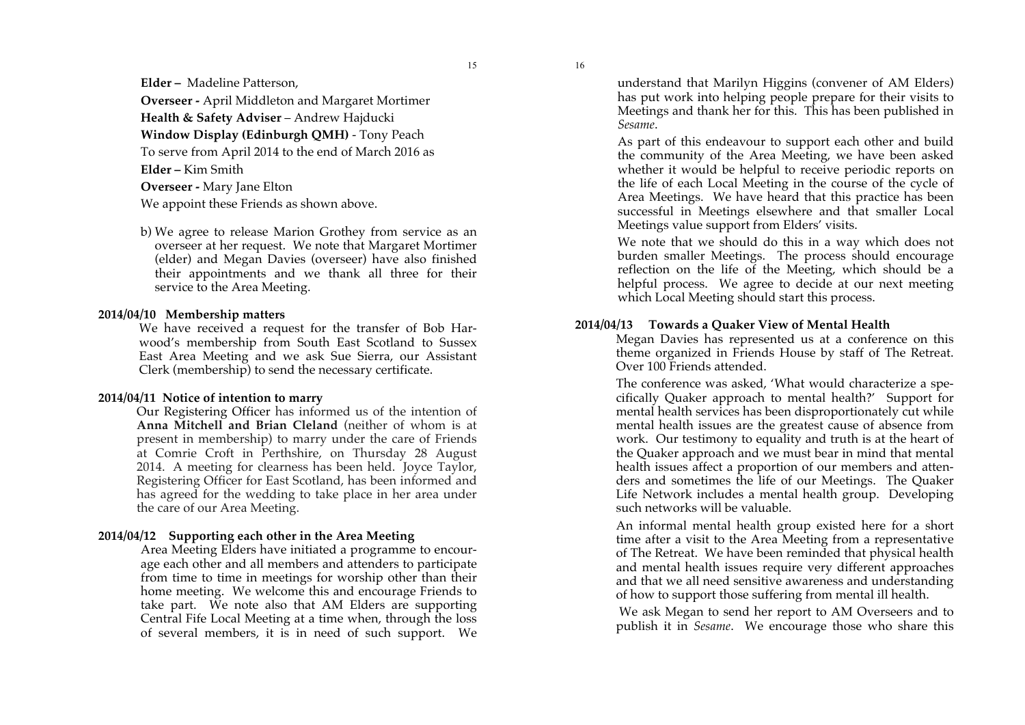**Elder –** Madeline Patterson,

**Overseer -** April Middleton and Margaret Mortimer **Health & Safety Adviser** – Andrew Hajducki **Window Display (Edinburgh QMH)** - Tony Peach To serve from April 2014 to the end of March 2016 as **Elder –** Kim Smith

**Overseer -** Mary Jane Elton We appoint these Friends as shown above.

b) We agree to release Marion Grothey from service as an overseer at her request. We note that Margaret Mortimer (elder) and Megan Davies (overseer) have also finished their appointments and we thank all three for their service to the Area Meeting.

#### **2014/04/10 Membership matters**

We have received a request for the transfer of Bob Harwood's membership from South East Scotland to Sussex East Area Meeting and we ask Sue Sierra, our Assistant Clerk (membership) to send the necessary certificate.

#### **2014/04/11 Notice of intention to marry**

Our Registering Officer has informed us of the intention of **Anna Mitchell and Brian Cleland** (neither of whom is at present in membership) to marry under the care of Friends at Comrie Croft in Perthshire, on Thursday 28 August 2014. A meeting for clearness has been held. Joyce Taylor, Registering Officer for East Scotland, has been informed and has agreed for the wedding to take place in her area under the care of our Area Meeting.

#### **2014/04/12 Supporting each other in the Area Meeting**

Area Meeting Elders have initiated a programme to encourage each other and all members and attenders to participate from time to time in meetings for worship other than their home meeting. We welcome this and encourage Friends to take part. We note also that AM Elders are supporting Central Fife Local Meeting at a time when, through the loss of several members, it is in need of such support. We

understand that Marilyn Higgins (convener of AM Elders) has put work into helping people prepare for their visits to Meetings and thank her for this. This has been published in *Sesame*.

As part of this endeavour to support each other and build the community of the Area Meeting, we have been asked whether it would be helpful to receive periodic reports on the life of each Local Meeting in the course of the cycle of Area Meetings. We have heard that this practice has been successful in Meetings elsewhere and that smaller Local Meetings value support from Elders' visits.

We note that we should do this in a way which does not burden smaller Meetings. The process should encourage reflection on the life of the Meeting, which should be a helpful process. We agree to decide at our next meeting which Local Meeting should start this process.

#### **2014/04/13 Towards a Quaker View of Mental Health**

Megan Davies has represented us at a conference on this theme organized in Friends House by staff of The Retreat. Over 100 Friends attended.

The conference was asked, 'What would characterize a specifically Quaker approach to mental health?' Support for mental health services has been disproportionately cut while mental health issues are the greatest cause of absence from work. Our testimony to equality and truth is at the heart of the Quaker approach and we must bear in mind that mental health issues affect a proportion of our members and attenders and sometimes the life of our Meetings. The Quaker Life Network includes a mental health group. Developing such networks will be valuable.

An informal mental health group existed here for a short time after a visit to the Area Meeting from a representative of The Retreat. We have been reminded that physical health and mental health issues require very different approaches and that we all need sensitive awareness and understanding of how to support those suffering from mental ill health.

We ask Megan to send her report to AM Overseers and to publish it in *Sesame*. We encourage those who share this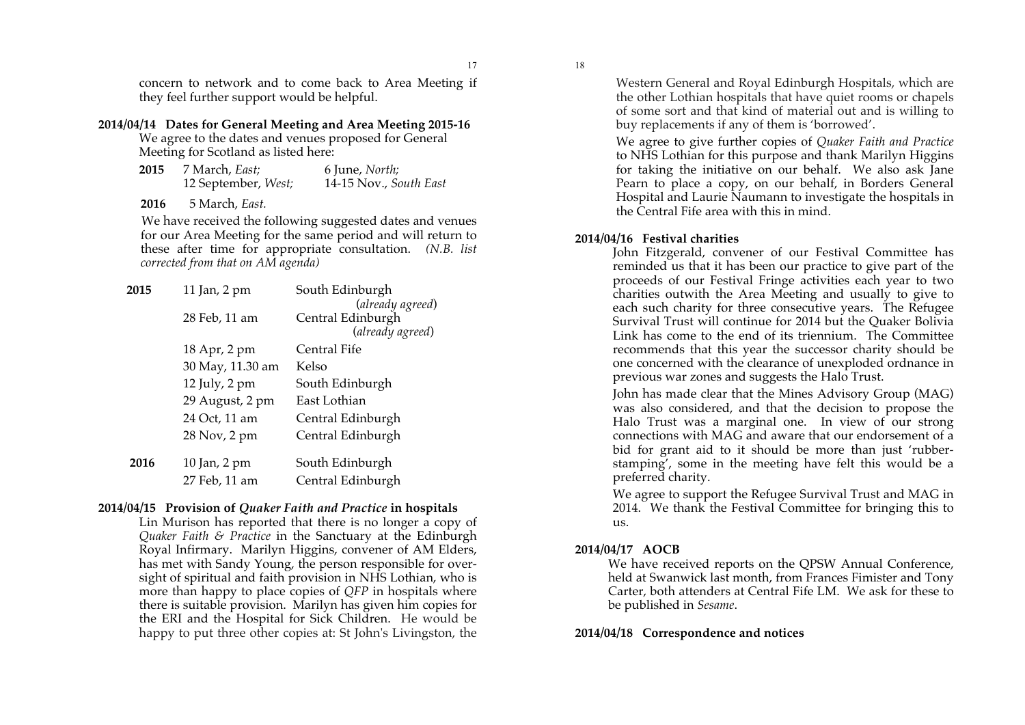17

concern to network and to come back to Area Meeting if they feel further support would be helpful.

#### **2014/04/14 Dates for General Meeting and Area Meeting 2015-16**

We agree to the dates and venues proposed for General Meeting for Scotland as listed here:

 **2015** 7 March, *East;* 6 June, *North;* 12 September, *West;* 14-15 Nov., *South East*

**2016** 5 March, *East.*

We have received the following suggested dates and venues for our Area Meeting for the same period and will return to these after time for appropriate consultation. *(N.B. list corrected from that on AM agenda)*

| 2015 | 11 Jan, 2 pm     | South Edinburgh   |
|------|------------------|-------------------|
|      |                  | (already agreed)  |
|      | 28 Feb, 11 am    | Central Edinburgh |
|      |                  | (already agreed)  |
|      | 18 Apr, 2 pm     | Central Fife      |
|      | 30 May, 11.30 am | Kelso             |
|      | 12 July, 2 pm    | South Edinburgh   |
|      | 29 August, 2 pm  | East Lothian      |
|      | 24 Oct, 11 am    | Central Edinburgh |
|      | 28 Nov, 2 pm     | Central Edinburgh |
| 2016 | 10 Jan, 2 pm     | South Edinburgh   |
|      | 27 Feb, 11 am    | Central Edinburgh |
|      |                  |                   |

## **2014/04/15 Provision of** *Quaker Faith and Practice* **in hospitals**

Lin Murison has reported that there is no longer a copy of *Quaker Faith & Practice* in the Sanctuary at the Edinburgh Royal Infirmary. Marilyn Higgins, convener of AM Elders, has met with Sandy Young, the person responsible for oversight of spiritual and faith provision in NHS Lothian, who is more than happy to place copies of *QFP* in hospitals where there is suitable provision. Marilyn has given him copies for the ERI and the Hospital for Sick Children. He would be happy to put three other copies at: St John's Livingston, the Western General and Royal Edinburgh Hospitals, which are the other Lothian hospitals that have quiet rooms or chapels of some sort and that kind of material out and is willing to buy replacements if any of them is 'borrowed'.

We agree to give further copies of *Quaker Faith and Practice* to NHS Lothian for this purpose and thank Marilyn Higgins for taking the initiative on our behalf. We also ask Jane Pearn to place a copy, on our behalf, in Borders General Hospital and Laurie Naumann to investigate the hospitals in the Central Fife area with this in mind.

## **2014/04/16 Festival charities**

John Fitzgerald, convener of our Festival Committee has reminded us that it has been our practice to give part of the proceeds of our Festival Fringe activities each year to two charities outwith the Area Meeting and usually to give to each such charity for three consecutive years. The Refugee Survival Trust will continue for 2014 but the Quaker Bolivia Link has come to the end of its triennium. The Committee recommends that this year the successor charity should be one concerned with the clearance of unexploded ordnance in previous war zones and suggests the Halo Trust.

John has made clear that the Mines Advisory Group (MAG) was also considered, and that the decision to propose the Halo Trust was a marginal one. In view of our strong connections with MAG and aware that our endorsement of a bid for grant aid to it should be more than just 'rubberstamping', some in the meeting have felt this would be a preferred charity.

We agree to support the Refugee Survival Trust and MAG in 2014. We thank the Festival Committee for bringing this to us.

## **2014/04/17 AOCB**

We have received reports on the QPSW Annual Conference, held at Swanwick last month, from Frances Fimister and Tony Carter, both attenders at Central Fife LM. We ask for these to be published in *Sesame*.

## **2014/04/18 Correspondence and notices**